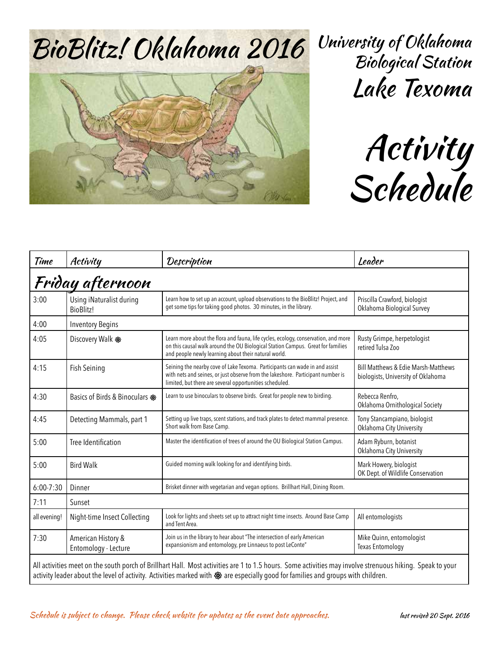

University of Oklahoma Biological Station Lake Texoma

Activity Schedule

| Time                                                                                                                                                                                                                                                                                          | Activity                                     | Description                                                                                                                                                                                                                   | Leader                                                                               |  |  |
|-----------------------------------------------------------------------------------------------------------------------------------------------------------------------------------------------------------------------------------------------------------------------------------------------|----------------------------------------------|-------------------------------------------------------------------------------------------------------------------------------------------------------------------------------------------------------------------------------|--------------------------------------------------------------------------------------|--|--|
| Friday afternoon                                                                                                                                                                                                                                                                              |                                              |                                                                                                                                                                                                                               |                                                                                      |  |  |
| 3:00                                                                                                                                                                                                                                                                                          | Using iNaturalist during<br><b>BioBlitz!</b> | Learn how to set up an account, upload observations to the BioBlitz! Project, and<br>get some tips for taking good photos. 30 minutes, in the library.                                                                        | Priscilla Crawford, biologist<br>Oklahoma Biological Survey                          |  |  |
| 4:00                                                                                                                                                                                                                                                                                          | <b>Inventory Begins</b>                      |                                                                                                                                                                                                                               |                                                                                      |  |  |
| 4:05                                                                                                                                                                                                                                                                                          | Discovery Walk &                             | Learn more about the flora and fauna, life cycles, ecology, conservation, and more<br>on this causal walk around the OU Biological Station Campus. Great for families<br>and people newly learning about their natural world. | Rusty Grimpe, herpetologist<br>retired Tulsa Zoo                                     |  |  |
| 4:15                                                                                                                                                                                                                                                                                          | Fish Seining                                 | Seining the nearby cove of Lake Texoma. Participants can wade in and assist<br>with nets and seines, or just observe from the lakeshore. Participant number is<br>limited, but there are several opportunities scheduled.     | <b>Bill Matthews &amp; Edie Marsh-Matthews</b><br>biologists, University of Oklahoma |  |  |
| 4:30                                                                                                                                                                                                                                                                                          | Basics of Birds & Binoculars &               | Learn to use binoculars to observe birds. Great for people new to birding.                                                                                                                                                    | Rebecca Renfro,<br>Oklahoma Ornithological Society                                   |  |  |
| 4:45                                                                                                                                                                                                                                                                                          | Detecting Mammals, part 1                    | Setting up live traps, scent stations, and track plates to detect mammal presence.<br>Short walk from Base Camp.                                                                                                              | Tony Stancampiano, biologist<br>Oklahoma City University                             |  |  |
| 5:00                                                                                                                                                                                                                                                                                          | Tree Identification                          | Master the identification of trees of around the OU Biological Station Campus.                                                                                                                                                | Adam Ryburn, botanist<br>Oklahoma City University                                    |  |  |
| 5:00                                                                                                                                                                                                                                                                                          | <b>Bird Walk</b>                             | Guided morning walk looking for and identifying birds.                                                                                                                                                                        | Mark Howery, biologist<br>OK Dept. of Wildlife Conservation                          |  |  |
| $6:00 - 7:30$                                                                                                                                                                                                                                                                                 | Dinner                                       | Brisket dinner with vegetarian and vegan options. Brillhart Hall, Dining Room.                                                                                                                                                |                                                                                      |  |  |
| 7:11                                                                                                                                                                                                                                                                                          | Sunset                                       |                                                                                                                                                                                                                               |                                                                                      |  |  |
| all evening!                                                                                                                                                                                                                                                                                  | Night-time Insect Collecting                 | Look for lights and sheets set up to attract night time insects. Around Base Camp<br>and Tent Area.                                                                                                                           | All entomologists                                                                    |  |  |
| 7:30                                                                                                                                                                                                                                                                                          | American History &<br>Entomology - Lecture   | Join us in the library to hear about "The intersection of early American<br>expansionism and entomology, pre Linnaeus to post LeConte"                                                                                        | Mike Quinn, entomologist<br><b>Texas Entomology</b>                                  |  |  |
| All activities meet on the south porch of Brillhart Hall. Most activities are 1 to 1.5 hours. Some activities may involve strenuous hiking. Speak to your<br>activity leader about the level of activity. Activities marked with & are especially good for families and groups with children. |                                              |                                                                                                                                                                                                                               |                                                                                      |  |  |

## Schedule is subject to change. Please check website for updates as the event date approaches. last revised 20 Sept. 2016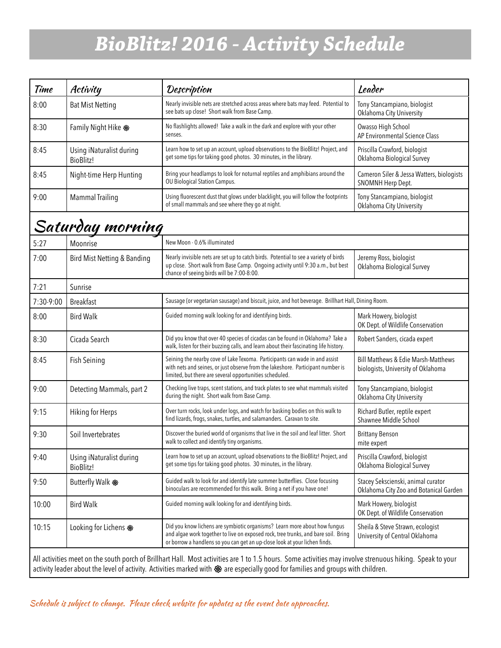## *BioBlitz! 2016 - Activity Schedule*

| Time                                                                                                                                                                                                                                                                                          | Activity                                     | Description                                                                                                                                                                                                                                   | Leader                                                                               |  |  |
|-----------------------------------------------------------------------------------------------------------------------------------------------------------------------------------------------------------------------------------------------------------------------------------------------|----------------------------------------------|-----------------------------------------------------------------------------------------------------------------------------------------------------------------------------------------------------------------------------------------------|--------------------------------------------------------------------------------------|--|--|
| 8:00                                                                                                                                                                                                                                                                                          | <b>Bat Mist Netting</b>                      | Nearly invisible nets are stretched across areas where bats may feed. Potential to<br>see bats up close! Short walk from Base Camp.                                                                                                           | Tony Stancampiano, biologist<br>Oklahoma City University                             |  |  |
| 8:30                                                                                                                                                                                                                                                                                          | Family Night Hike &                          | No flashlights allowed! Take a walk in the dark and explore with your other<br>senses.                                                                                                                                                        | Owasso High School<br>AP Environmental Science Class                                 |  |  |
| 8:45                                                                                                                                                                                                                                                                                          | Using iNaturalist during<br><b>BioBlitz!</b> | Learn how to set up an account, upload observations to the BioBlitz! Project, and<br>get some tips for taking good photos. 30 minutes, in the library.                                                                                        | Priscilla Crawford, biologist<br>Oklahoma Biological Survey                          |  |  |
| 8:45                                                                                                                                                                                                                                                                                          | Night-time Herp Hunting                      | Bring your headlamps to look for noturnal reptiles and amphibians around the<br>OU Biological Station Campus.                                                                                                                                 | Cameron Siler & Jessa Watters, biologists<br>SNOMNH Herp Dept.                       |  |  |
| 9:00                                                                                                                                                                                                                                                                                          | <b>Mammal Trailing</b>                       | Using fluorescent dust that glows under blacklight, you will follow the footprints<br>of small mammals and see where they go at night.                                                                                                        | Tony Stancampiano, biologist<br>Oklahoma City University                             |  |  |
|                                                                                                                                                                                                                                                                                               | Saturday morning                             |                                                                                                                                                                                                                                               |                                                                                      |  |  |
| 5:27                                                                                                                                                                                                                                                                                          | Moonrise                                     | New Moon - 0.6% illuminated                                                                                                                                                                                                                   |                                                                                      |  |  |
| 7:00                                                                                                                                                                                                                                                                                          | Bird Mist Netting & Banding                  | Nearly invisible nets are set up to catch birds. Potential to see a variety of birds<br>up close. Short walk from Base Camp. Ongoing activity until 9:30 a.m., but best<br>chance of seeing birds will be 7:00-8:00.                          | Jeremy Ross, biologist<br>Oklahoma Biological Survey                                 |  |  |
| 7:21                                                                                                                                                                                                                                                                                          | Sunrise                                      |                                                                                                                                                                                                                                               |                                                                                      |  |  |
| 7:30-9:00                                                                                                                                                                                                                                                                                     | <b>Breakfast</b>                             | Sausage (or vegetarian sausage) and biscuit, juice, and hot beverage. Brillhart Hall, Dining Room.                                                                                                                                            |                                                                                      |  |  |
| 8:00                                                                                                                                                                                                                                                                                          | <b>Bird Walk</b>                             | Guided morning walk looking for and identifying birds.                                                                                                                                                                                        | Mark Howery, biologist<br>OK Dept. of Wildlife Conservation                          |  |  |
| 8:30                                                                                                                                                                                                                                                                                          | Cicada Search                                | Did you know that over 40 species of cicadas can be found in Oklahoma? Take a<br>walk, listen for their buzzing calls, and learn about their fascinating life history.                                                                        | Robert Sanders, cicada expert                                                        |  |  |
| 8:45                                                                                                                                                                                                                                                                                          | <b>Fish Seining</b>                          | Seining the nearby cove of Lake Texoma. Participants can wade in and assist<br>with nets and seines, or just observe from the lakeshore. Participant number is<br>limited, but there are several opportunities scheduled.                     | <b>Bill Matthews &amp; Edie Marsh-Matthews</b><br>biologists, University of Oklahoma |  |  |
| 9:00                                                                                                                                                                                                                                                                                          | Detecting Mammals, part 2                    | Checking live traps, scent stations, and track plates to see what mammals visited<br>during the night. Short walk from Base Camp.                                                                                                             | Tony Stancampiano, biologist<br>Oklahoma City University                             |  |  |
| 9:15                                                                                                                                                                                                                                                                                          | Hiking for Herps                             | Over turn rocks, look under logs, and watch for basking bodies on this walk to<br>find lizards, frogs, snakes, turtles, and salamanders. Caravan to site.                                                                                     | Richard Butler, reptile expert<br>Shawnee Middle School                              |  |  |
| 9:30                                                                                                                                                                                                                                                                                          | Soil Invertebrates                           | Discover the buried world of organisms that live in the soil and leaf litter. Short<br>walk to collect and identify tiny organisms.                                                                                                           | <b>Brittany Benson</b><br>mite expert                                                |  |  |
| 9:40                                                                                                                                                                                                                                                                                          | Using iNaturalist during<br><b>BioBlitz!</b> | Learn how to set up an account, upload observations to the BioBlitz! Project, and<br>get some tips for taking good photos. 30 minutes, in the library.                                                                                        | Priscilla Crawford, biologist<br>Oklahoma Biological Survey                          |  |  |
| 9:50                                                                                                                                                                                                                                                                                          | Butterfly Walk &                             | Guided walk to look for and identify late summer butterflies. Close focusing<br>binoculars are recommended for this walk. Bring a net if you have one!                                                                                        | Stacey Sekscienski, animal curator<br>Oklahoma City Zoo and Botanical Garden         |  |  |
| 10:00                                                                                                                                                                                                                                                                                         | <b>Bird Walk</b>                             | Guided morning walk looking for and identifying birds.                                                                                                                                                                                        | Mark Howery, biologist<br>OK Dept. of Wildlife Conservation                          |  |  |
| 10:15                                                                                                                                                                                                                                                                                         | Looking for Lichens &                        | Did you know lichens are symbiotic organisms? Learn more about how fungus<br>and algae work together to live on exposed rock, tree trunks, and bare soil. Bring<br>or borrow a handlens so you can get an up-close look at your lichen finds. | Sheila & Steve Strawn, ecologist<br>University of Central Oklahoma                   |  |  |
| All activities meet on the south porch of Brillhart Hall. Most activities are 1 to 1.5 hours. Some activities may involve strenuous hiking. Speak to your<br>activity leader about the level of activity. Activities marked with & are especially good for families and groups with children. |                                              |                                                                                                                                                                                                                                               |                                                                                      |  |  |